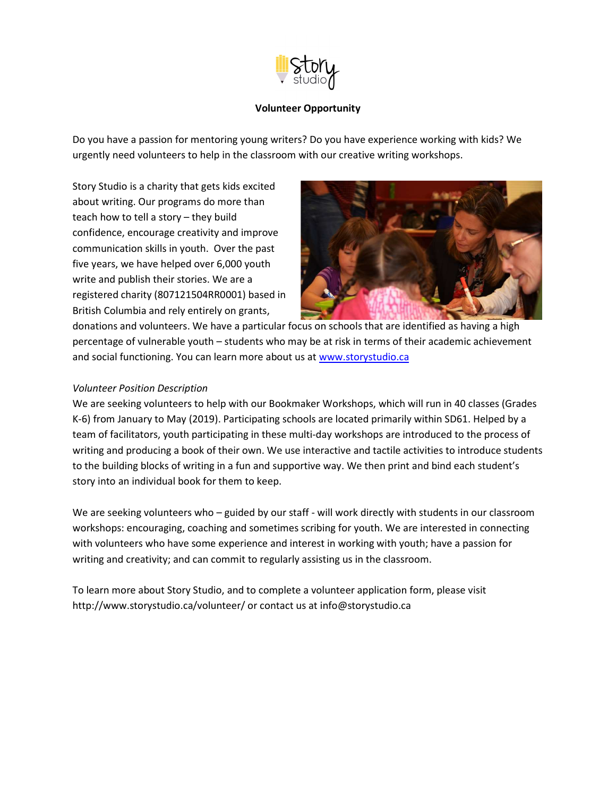

## Volunteer Opportunity

Do you have a passion for mentoring young writers? Do you have experience working with kids? We urgently need volunteers to help in the classroom with our creative writing workshops.

Story Studio is a charity that gets kids excited about writing. Our programs do more than teach how to tell a story – they build confidence, encourage creativity and improve communication skills in youth. Over the past five years, we have helped over 6,000 youth write and publish their stories. We are a registered charity (807121504RR0001) based in British Columbia and rely entirely on grants,



donations and volunteers. We have a particular focus on schools that are identified as having a high percentage of vulnerable youth – students who may be at risk in terms of their academic achievement and social functioning. You can learn more about us at www.storystudio.ca

## Volunteer Position Description

We are seeking volunteers to help with our Bookmaker Workshops, which will run in 40 classes (Grades K-6) from January to May (2019). Participating schools are located primarily within SD61. Helped by a team of facilitators, youth participating in these multi-day workshops are introduced to the process of writing and producing a book of their own. We use interactive and tactile activities to introduce students to the building blocks of writing in a fun and supportive way. We then print and bind each student's story into an individual book for them to keep.

We are seeking volunteers who – guided by our staff - will work directly with students in our classroom workshops: encouraging, coaching and sometimes scribing for youth. We are interested in connecting with volunteers who have some experience and interest in working with youth; have a passion for writing and creativity; and can commit to regularly assisting us in the classroom.

To learn more about Story Studio, and to complete a volunteer application form, please visit http://www.storystudio.ca/volunteer/ or contact us at info@storystudio.ca